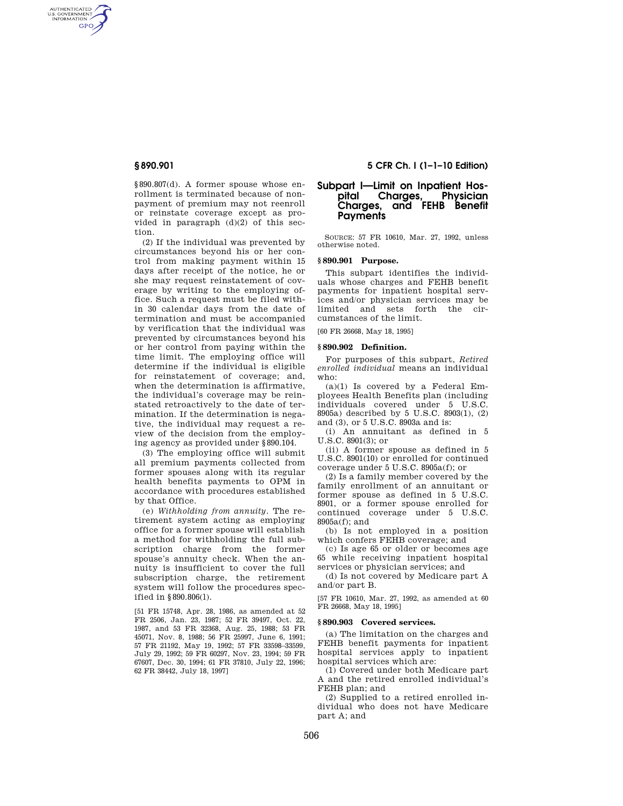AUTHENTICATED<br>U.S. GOVERNMENT<br>INFORMATION **GPO** 

> §890.807(d). A former spouse whose enrollment is terminated because of nonpayment of premium may not reenroll or reinstate coverage except as provided in paragraph  $(d)(2)$  of this section.

> (2) If the individual was prevented by circumstances beyond his or her control from making payment within 15 days after receipt of the notice, he or she may request reinstatement of coverage by writing to the employing office. Such a request must be filed within 30 calendar days from the date of termination and must be accompanied by verification that the individual was prevented by circumstances beyond his or her control from paying within the time limit. The employing office will determine if the individual is eligible for reinstatement of coverage; and, when the determination is affirmative, the individual's coverage may be reinstated retroactively to the date of termination. If the determination is negative, the individual may request a review of the decision from the employing agency as provided under §890.104.

> (3) The employing office will submit all premium payments collected from former spouses along with its regular health benefits payments to OPM in accordance with procedures established by that Office.

> (e) *Withholding from annuity.* The retirement system acting as employing office for a former spouse will establish a method for withholding the full subscription charge from the former spouse's annuity check. When the annuity is insufficient to cover the full subscription charge, the retirement system will follow the procedures specified in §890.806(l).

> [51 FR 15748, Apr. 28, 1986, as amended at 52 FR 2506, Jan. 23, 1987; 52 FR 39497, Oct. 22, 1987, and 53 FR 32368, Aug. 25, 1988; 53 FR 45071, Nov. 8, 1988; 56 FR 25997, June 6, 1991; 57 FR 21192, May 19, 1992; 57 FR 33598–33599, July 29, 1992; 59 FR 60297, Nov. 23, 1994; 59 FR 67607, Dec. 30, 1994; 61 FR 37810, July 22, 1996; 62 FR 38442, July 18, 1997]

# **§ 890.901 5 CFR Ch. I (1–1–10 Edition)**

# **Subpart I—Limit on Inpatient Hos-Physician Charges, and FEHB Benefit Payments**

SOURCE: 57 FR 10610, Mar. 27, 1992, unless otherwise noted.

## **§ 890.901 Purpose.**

This subpart identifies the individuals whose charges and FEHB benefit payments for inpatient hospital services and/or physician services may be limited and sets forth the circumstances of the limit.

[60 FR 26668, May 18, 1995]

## **§ 890.902 Definition.**

For purposes of this subpart, *Retired enrolled individual* means an individual who:

(a)(1) Is covered by a Federal Employees Health Benefits plan (including individuals covered under 5 U.S.C. 8905a) described by 5 U.S.C. 8903(1), (2) and (3), or 5 U.S.C. 8903a and is:

(i) An annuitant as defined in 5 U.S.C. 8901(3); or

(ii) A former spouse as defined in 5 U.S.C. 8901(10) or enrolled for continued coverage under 5 U.S.C. 8905a(f); or

(2) Is a family member covered by the family enrollment of an annuitant or former spouse as defined in 5 U.S.C. 8901, or a former spouse enrolled for continued coverage under 5 U.S.C. 8905a(f); and

(b) Is not employed in a position which confers FEHB coverage; and

(c) Is age 65 or older or becomes age 65 while receiving inpatient hospital services or physician services; and

(d) Is not covered by Medicare part A and/or part B.

[57 FR 10610, Mar. 27, 1992, as amended at 60 FR 26668, May 18, 1995]

#### **§ 890.903 Covered services.**

(a) The limitation on the charges and FEHB benefit payments for inpatient hospital services apply to inpatient hospital services which are:

(1) Covered under both Medicare part A and the retired enrolled individual's FEHB plan; and

(2) Supplied to a retired enrolled individual who does not have Medicare part A; and